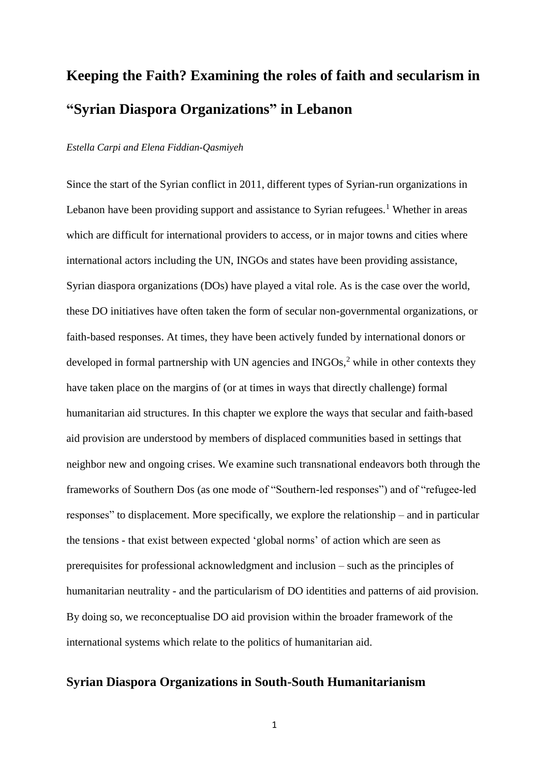# **Keeping the Faith? Examining the roles of faith and secularism in "Syrian Diaspora Organizations" in Lebanon**

#### *Estella Carpi and Elena Fiddian-Qasmiyeh*

Since the start of the Syrian conflict in 2011, different types of Syrian-run organizations in Lebanon have been providing support and assistance to Syrian refugees.<sup>1</sup> Whether in areas which are difficult for international providers to access, or in major towns and cities where international actors including the UN, INGOs and states have been providing assistance, Syrian diaspora organizations (DOs) have played a vital role. As is the case over the world, these DO initiatives have often taken the form of secular non-governmental organizations, or faith-based responses. At times, they have been actively funded by international donors or developed in formal partnership with UN agencies and  $\text{INGOs},^2$  while in other contexts they have taken place on the margins of (or at times in ways that directly challenge) formal humanitarian aid structures. In this chapter we explore the ways that secular and faith-based aid provision are understood by members of displaced communities based in settings that neighbor new and ongoing crises. We examine such transnational endeavors both through the frameworks of Southern Dos (as one mode of "Southern-led responses") and of "refugee-led responses" to displacement. More specifically, we explore the relationship – and in particular the tensions - that exist between expected 'global norms' of action which are seen as prerequisites for professional acknowledgment and inclusion – such as the principles of humanitarian neutrality - and the particularism of DO identities and patterns of aid provision. By doing so, we reconceptualise DO aid provision within the broader framework of the international systems which relate to the politics of humanitarian aid.

## **Syrian Diaspora Organizations in South-South Humanitarianism**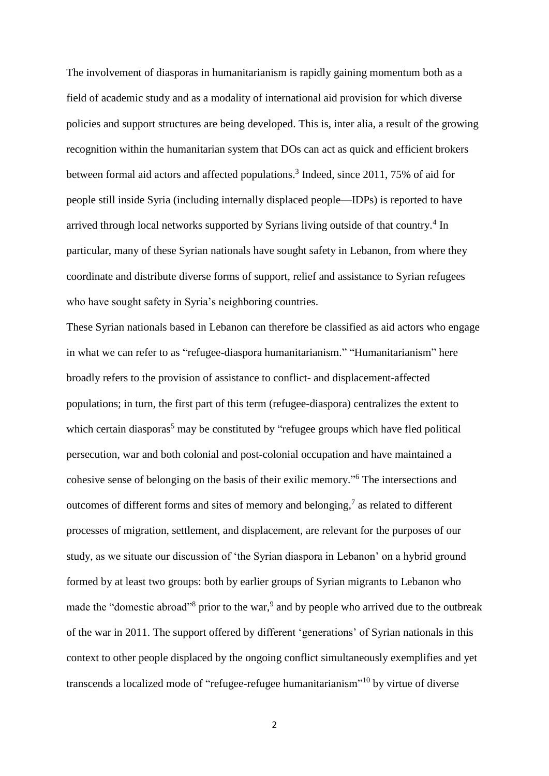The involvement of diasporas in humanitarianism is rapidly gaining momentum both as a field of academic study and as a modality of international aid provision for which diverse policies and support structures are being developed. This is, inter alia, a result of the growing recognition within the humanitarian system that DOs can act as quick and efficient brokers between formal aid actors and affected populations. 3 Indeed, since 2011, 75% of aid for people still inside Syria (including internally displaced people—IDPs) is reported to have arrived through local networks supported by Syrians living outside of that country.<sup>4</sup> In particular, many of these Syrian nationals have sought safety in Lebanon, from where they coordinate and distribute diverse forms of support, relief and assistance to Syrian refugees who have sought safety in Syria's neighboring countries.

These Syrian nationals based in Lebanon can therefore be classified as aid actors who engage in what we can refer to as "refugee-diaspora humanitarianism." "Humanitarianism" here broadly refers to the provision of assistance to conflict- and displacement-affected populations; in turn, the first part of this term (refugee-diaspora) centralizes the extent to which certain diasporas<sup>5</sup> may be constituted by "refugee groups which have fled political persecution, war and both colonial and post-colonial occupation and have maintained a cohesive sense of belonging on the basis of their exilic memory." <sup>6</sup> The intersections and outcomes of different forms and sites of memory and belonging, $\frac{7}{1}$  as related to different processes of migration, settlement, and displacement, are relevant for the purposes of our study, as we situate our discussion of 'the Syrian diaspora in Lebanon' on a hybrid ground formed by at least two groups: both by earlier groups of Syrian migrants to Lebanon who made the "domestic abroad"<sup>8</sup> prior to the war,<sup>9</sup> and by people who arrived due to the outbreak of the war in 2011. The support offered by different 'generations' of Syrian nationals in this context to other people displaced by the ongoing conflict simultaneously exemplifies and yet transcends a localized mode of "refugee-refugee humanitarianism"<sup>10</sup> by virtue of diverse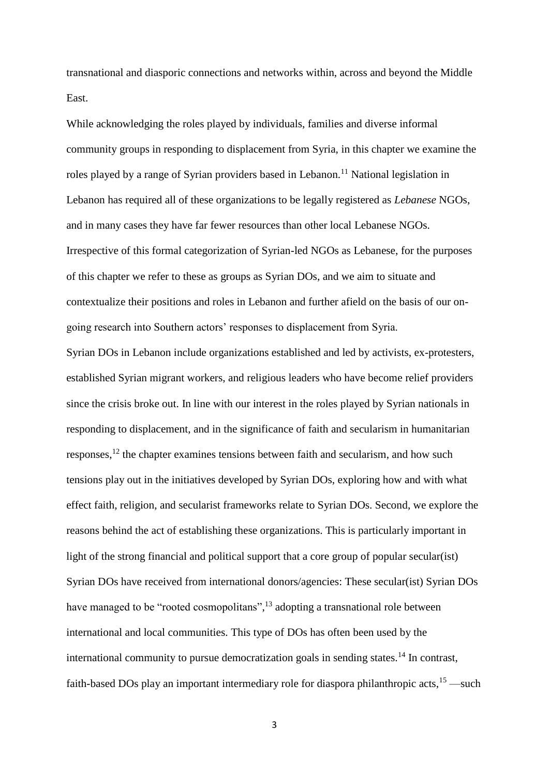transnational and diasporic connections and networks within, across and beyond the Middle East.

While acknowledging the roles played by individuals, families and diverse informal community groups in responding to displacement from Syria, in this chapter we examine the roles played by a range of Syrian providers based in Lebanon.<sup>11</sup> National legislation in Lebanon has required all of these organizations to be legally registered as *Lebanese* NGOs, and in many cases they have far fewer resources than other local Lebanese NGOs. Irrespective of this formal categorization of Syrian-led NGOs as Lebanese, for the purposes of this chapter we refer to these as groups as Syrian DOs, and we aim to situate and contextualize their positions and roles in Lebanon and further afield on the basis of our ongoing research into Southern actors' responses to displacement from Syria.

Syrian DOs in Lebanon include organizations established and led by activists, ex-protesters, established Syrian migrant workers, and religious leaders who have become relief providers since the crisis broke out. In line with our interest in the roles played by Syrian nationals in responding to displacement, and in the significance of faith and secularism in humanitarian responses,<sup>12</sup> the chapter examines tensions between faith and secularism, and how such tensions play out in the initiatives developed by Syrian DOs, exploring how and with what effect faith, religion, and secularist frameworks relate to Syrian DOs. Second, we explore the reasons behind the act of establishing these organizations. This is particularly important in light of the strong financial and political support that a core group of popular secular(ist) Syrian DOs have received from international donors/agencies: These secular(ist) Syrian DOs have managed to be "rooted cosmopolitans",<sup>13</sup> adopting a transnational role between international and local communities. This type of DOs has often been used by the international community to pursue democratization goals in sending states.<sup>14</sup> In contrast, faith-based DOs play an important intermediary role for diaspora philanthropic acts,  $15$  —such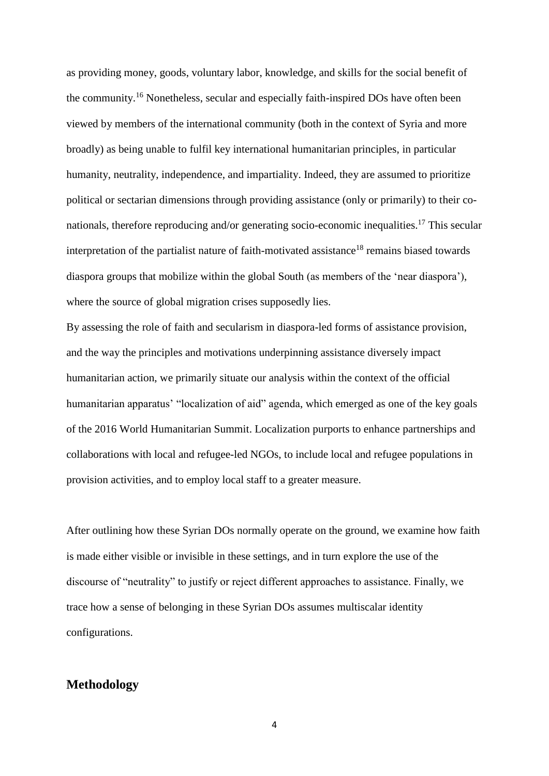as providing money, goods, voluntary labor, knowledge, and skills for the social benefit of the community.<sup>16</sup> Nonetheless, secular and especially faith-inspired DOs have often been viewed by members of the international community (both in the context of Syria and more broadly) as being unable to fulfil key international humanitarian principles, in particular humanity, neutrality, independence, and impartiality. Indeed, they are assumed to prioritize political or sectarian dimensions through providing assistance (only or primarily) to their conationals, therefore reproducing and/or generating socio-economic inequalities. <sup>17</sup> This secular interpretation of the partialist nature of faith-motivated assistance<sup>18</sup> remains biased towards diaspora groups that mobilize within the global South (as members of the 'near diaspora'), where the source of global migration crises supposedly lies.

By assessing the role of faith and secularism in diaspora-led forms of assistance provision, and the way the principles and motivations underpinning assistance diversely impact humanitarian action, we primarily situate our analysis within the context of the official humanitarian apparatus' "localization of aid" agenda, which emerged as one of the key goals of the 2016 World Humanitarian Summit. Localization purports to enhance partnerships and collaborations with local and refugee-led NGOs, to include local and refugee populations in provision activities, and to employ local staff to a greater measure.

After outlining how these Syrian DOs normally operate on the ground, we examine how faith is made either visible or invisible in these settings, and in turn explore the use of the discourse of "neutrality" to justify or reject different approaches to assistance. Finally, we trace how a sense of belonging in these Syrian DOs assumes multiscalar identity configurations.

## **Methodology**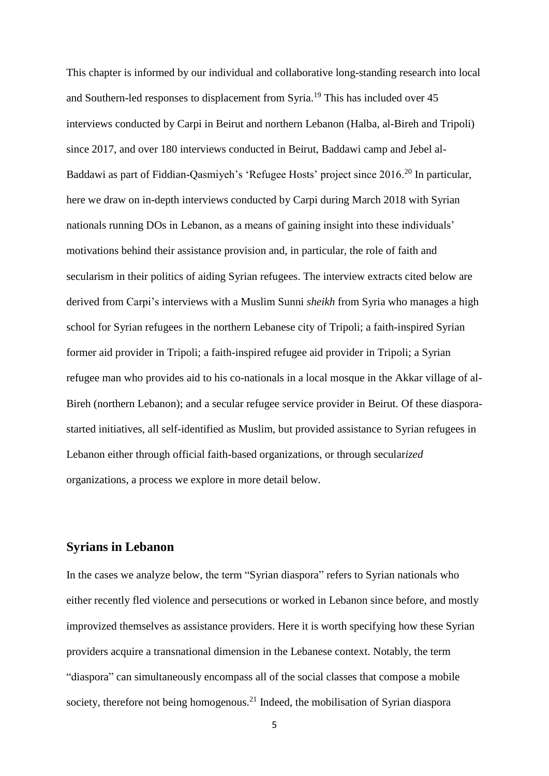This chapter is informed by our individual and collaborative long-standing research into local and Southern-led responses to displacement from Syria. <sup>19</sup> This has included over 45 interviews conducted by Carpi in Beirut and northern Lebanon (Halba, al-Bireh and Tripoli) since 2017, and over 180 interviews conducted in Beirut, Baddawi camp and Jebel al-Baddawi as part of Fiddian-Qasmiyeh's 'Refugee Hosts' project since 2016.<sup>20</sup> In particular, here we draw on in-depth interviews conducted by Carpi during March 2018 with Syrian nationals running DOs in Lebanon, as a means of gaining insight into these individuals' motivations behind their assistance provision and, in particular, the role of faith and secularism in their politics of aiding Syrian refugees. The interview extracts cited below are derived from Carpi's interviews with a Muslim Sunni *sheikh* from Syria who manages a high school for Syrian refugees in the northern Lebanese city of Tripoli; a faith-inspired Syrian former aid provider in Tripoli; a faith-inspired refugee aid provider in Tripoli; a Syrian refugee man who provides aid to his co-nationals in a local mosque in the Akkar village of al-Bireh (northern Lebanon); and a secular refugee service provider in Beirut. Of these diasporastarted initiatives, all self-identified as Muslim, but provided assistance to Syrian refugees in Lebanon either through official faith-based organizations, or through secular*ized* organizations, a process we explore in more detail below.

#### **Syrians in Lebanon**

In the cases we analyze below, the term "Syrian diaspora" refers to Syrian nationals who either recently fled violence and persecutions or worked in Lebanon since before, and mostly improvized themselves as assistance providers. Here it is worth specifying how these Syrian providers acquire a transnational dimension in the Lebanese context. Notably, the term "diaspora" can simultaneously encompass all of the social classes that compose a mobile society, therefore not being homogenous.<sup>21</sup> Indeed, the mobilisation of Syrian diaspora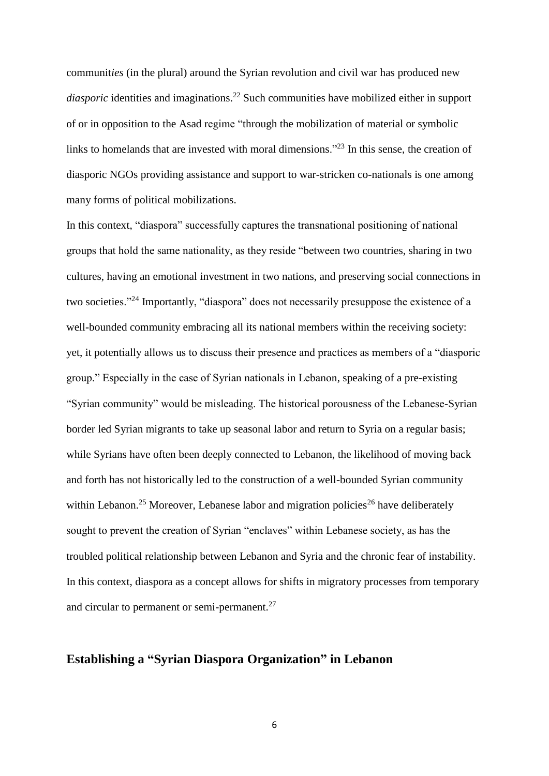communit*ies* (in the plural) around the Syrian revolution and civil war has produced new diasporic identities and imaginations.<sup>22</sup> Such communities have mobilized either in support of or in opposition to the Asad regime "through the mobilization of material or symbolic links to homelands that are invested with moral dimensions."<sup>23</sup> In this sense, the creation of diasporic NGOs providing assistance and support to war-stricken co-nationals is one among many forms of political mobilizations.

In this context, "diaspora" successfully captures the transnational positioning of national groups that hold the same nationality, as they reside "between two countries, sharing in two cultures, having an emotional investment in two nations, and preserving social connections in two societies."<sup>24</sup> Importantly, "diaspora" does not necessarily presuppose the existence of a well-bounded community embracing all its national members within the receiving society: yet, it potentially allows us to discuss their presence and practices as members of a "diasporic group." Especially in the case of Syrian nationals in Lebanon, speaking of a pre-existing "Syrian community" would be misleading. The historical porousness of the Lebanese-Syrian border led Syrian migrants to take up seasonal labor and return to Syria on a regular basis; while Syrians have often been deeply connected to Lebanon, the likelihood of moving back and forth has not historically led to the construction of a well-bounded Syrian community within Lebanon.<sup>25</sup> Moreover, Lebanese labor and migration policies<sup>26</sup> have deliberately sought to prevent the creation of Syrian "enclaves" within Lebanese society, as has the troubled political relationship between Lebanon and Syria and the chronic fear of instability. In this context, diaspora as a concept allows for shifts in migratory processes from temporary and circular to permanent or semi-permanent.<sup>27</sup>

## **Establishing a "Syrian Diaspora Organization" in Lebanon**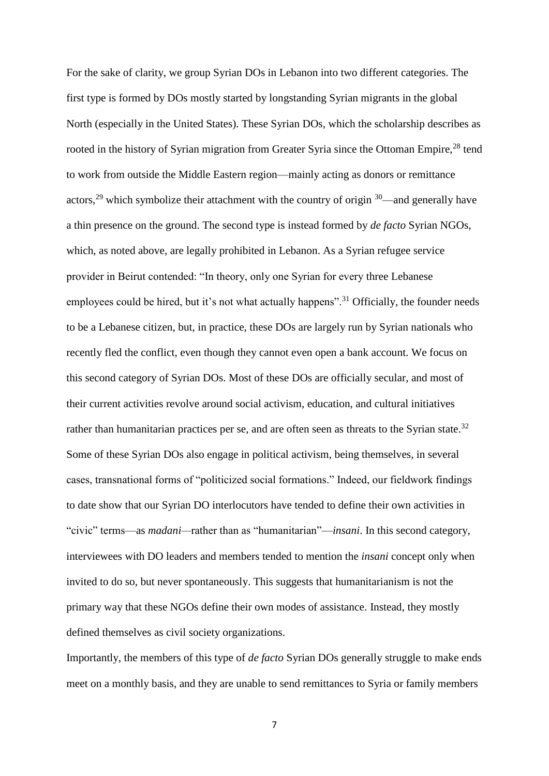For the sake of clarity, we group Syrian DOs in Lebanon into two different categories. The first type is formed by DOs mostly started by longstanding Syrian migrants in the global North (especially in the United States). These Syrian DOs, which the scholarship describes as rooted in the history of Syrian migration from Greater Syria since the Ottoman Empire,<sup>28</sup> tend to work from outside the Middle Eastern region—mainly acting as donors or remittance actors,<sup>29</sup> which symbolize their attachment with the country of origin  $30$ —and generally have a thin presence on the ground. The second type is instead formed by *de facto* Syrian NGOs, which, as noted above, are legally prohibited in Lebanon. As a Syrian refugee service provider in Beirut contended: "In theory, only one Syrian for every three Lebanese employees could be hired, but it's not what actually happens".<sup>31</sup> Officially, the founder needs to be a Lebanese citizen, but, in practice, these DOs are largely run by Syrian nationals who recently fled the conflict, even though they cannot even open a bank account. We focus on this second category of Syrian DOs. Most of these DOs are officially secular, and most of their current activities revolve around social activism, education, and cultural initiatives rather than humanitarian practices per se, and are often seen as threats to the Syrian state.<sup>32</sup> Some of these Syrian DOs also engage in political activism, being themselves, in several cases, transnational forms of "politicized social formations." Indeed, our fieldwork findings to date show that our Syrian DO interlocutors have tended to define their own activities in "civic" terms—as *madani—*rather than as "humanitarian"—*insani*. In this second category, interviewees with DO leaders and members tended to mention the *insani* concept only when invited to do so, but never spontaneously. This suggests that humanitarianism is not the primary way that these NGOs define their own modes of assistance. Instead, they mostly defined themselves as civil society organizations.

Importantly, the members of this type of *de facto* Syrian DOs generally struggle to make ends meet on a monthly basis, and they are unable to send remittances to Syria or family members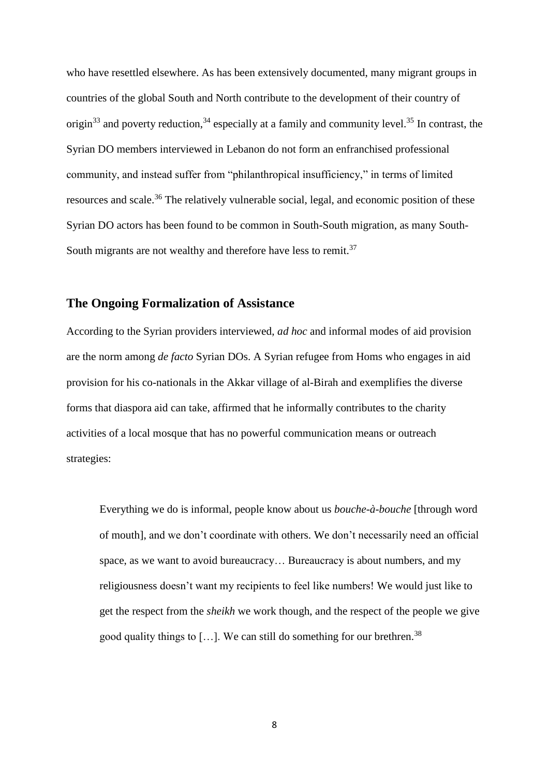who have resettled elsewhere. As has been extensively documented, many migrant groups in countries of the global South and North contribute to the development of their country of origin<sup>33</sup> and poverty reduction,<sup>34</sup> especially at a family and community level.<sup>35</sup> In contrast, the Syrian DO members interviewed in Lebanon do not form an enfranchised professional community, and instead suffer from "philanthropical insufficiency," in terms of limited resources and scale.<sup>36</sup> The relatively vulnerable social, legal, and economic position of these Syrian DO actors has been found to be common in South-South migration, as many South-South migrants are not wealthy and therefore have less to remit. $37$ 

## **The Ongoing Formalization of Assistance**

According to the Syrian providers interviewed, *ad hoc* and informal modes of aid provision are the norm among *de facto* Syrian DOs. A Syrian refugee from Homs who engages in aid provision for his co-nationals in the Akkar village of al-Birah and exemplifies the diverse forms that diaspora aid can take, affirmed that he informally contributes to the charity activities of a local mosque that has no powerful communication means or outreach strategies:

Everything we do is informal, people know about us *bouche-à-bouche* [through word of mouth], and we don't coordinate with others. We don't necessarily need an official space, as we want to avoid bureaucracy… Bureaucracy is about numbers, and my religiousness doesn't want my recipients to feel like numbers! We would just like to get the respect from the *sheikh* we work though, and the respect of the people we give good quality things to [...]. We can still do something for our brethren.<sup>38</sup>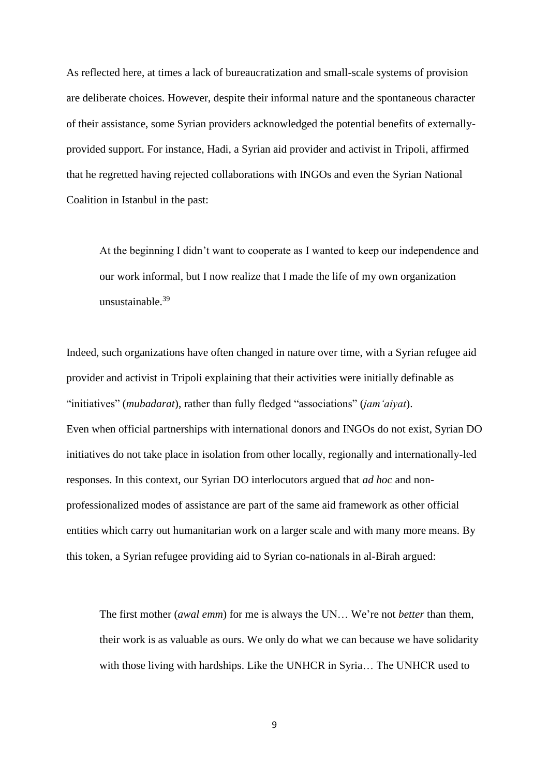As reflected here, at times a lack of bureaucratization and small-scale systems of provision are deliberate choices. However, despite their informal nature and the spontaneous character of their assistance, some Syrian providers acknowledged the potential benefits of externallyprovided support. For instance, Hadi, a Syrian aid provider and activist in Tripoli, affirmed that he regretted having rejected collaborations with INGOs and even the Syrian National Coalition in Istanbul in the past:

At the beginning I didn't want to cooperate as I wanted to keep our independence and our work informal, but I now realize that I made the life of my own organization unsustainable.<sup>39</sup>

Indeed, such organizations have often changed in nature over time, with a Syrian refugee aid provider and activist in Tripoli explaining that their activities were initially definable as "initiatives" (*mubadarat*), rather than fully fledged "associations" (*jam'aiyat*). Even when official partnerships with international donors and INGOs do not exist, Syrian DO initiatives do not take place in isolation from other locally, regionally and internationally-led responses. In this context, our Syrian DO interlocutors argued that *ad hoc* and nonprofessionalized modes of assistance are part of the same aid framework as other official entities which carry out humanitarian work on a larger scale and with many more means. By this token, a Syrian refugee providing aid to Syrian co-nationals in al-Birah argued:

The first mother (*awal emm*) for me is always the UN… We're not *better* than them, their work is as valuable as ours. We only do what we can because we have solidarity with those living with hardships. Like the UNHCR in Syria... The UNHCR used to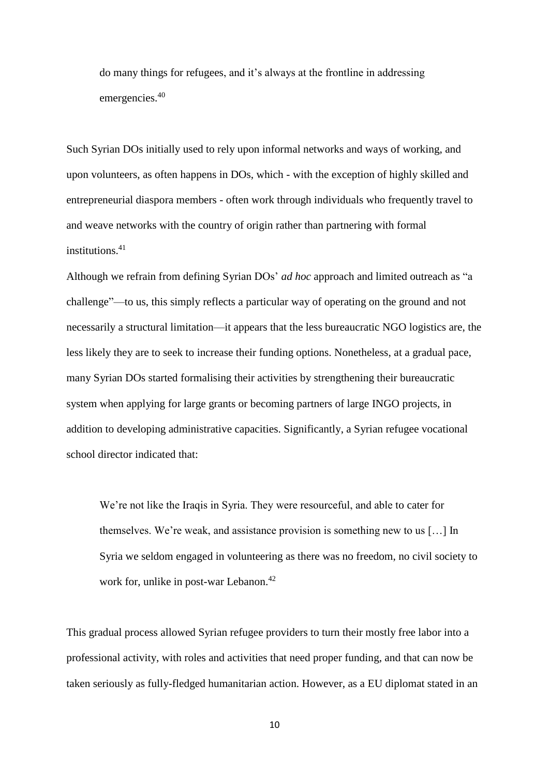do many things for refugees, and it's always at the frontline in addressing emergencies.<sup>40</sup>

Such Syrian DOs initially used to rely upon informal networks and ways of working, and upon volunteers, as often happens in DOs, which - with the exception of highly skilled and entrepreneurial diaspora members - often work through individuals who frequently travel to and weave networks with the country of origin rather than partnering with formal institutions.<sup>41</sup>

Although we refrain from defining Syrian DOs' *ad hoc* approach and limited outreach as "a challenge"—to us, this simply reflects a particular way of operating on the ground and not necessarily a structural limitation—it appears that the less bureaucratic NGO logistics are, the less likely they are to seek to increase their funding options. Nonetheless, at a gradual pace, many Syrian DOs started formalising their activities by strengthening their bureaucratic system when applying for large grants or becoming partners of large INGO projects, in addition to developing administrative capacities. Significantly, a Syrian refugee vocational school director indicated that:

We're not like the Iraqis in Syria. They were resourceful, and able to cater for themselves. We're weak, and assistance provision is something new to us […] In Syria we seldom engaged in volunteering as there was no freedom, no civil society to work for, unlike in post-war Lebanon. 42

This gradual process allowed Syrian refugee providers to turn their mostly free labor into a professional activity, with roles and activities that need proper funding, and that can now be taken seriously as fully-fledged humanitarian action. However, as a EU diplomat stated in an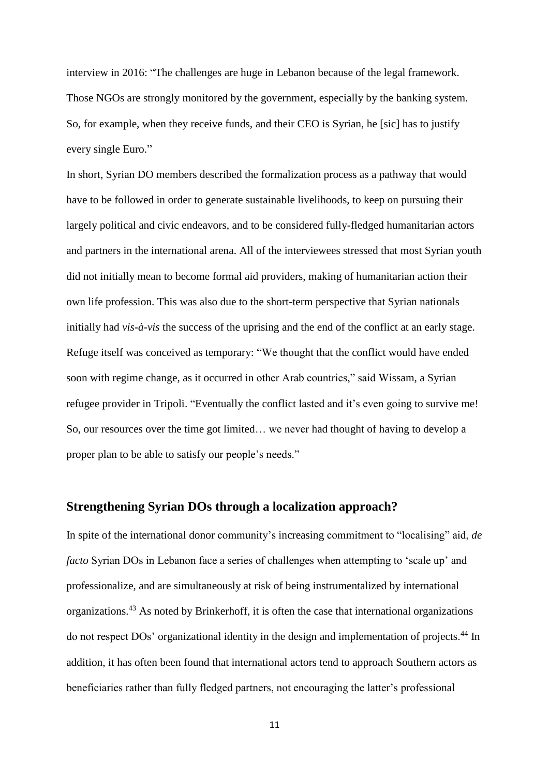interview in 2016: "The challenges are huge in Lebanon because of the legal framework. Those NGOs are strongly monitored by the government, especially by the banking system. So, for example, when they receive funds, and their CEO is Syrian, he [sic] has to justify every single Euro."

In short, Syrian DO members described the formalization process as a pathway that would have to be followed in order to generate sustainable livelihoods, to keep on pursuing their largely political and civic endeavors, and to be considered fully-fledged humanitarian actors and partners in the international arena. All of the interviewees stressed that most Syrian youth did not initially mean to become formal aid providers, making of humanitarian action their own life profession. This was also due to the short-term perspective that Syrian nationals initially had *vis-à-vis* the success of the uprising and the end of the conflict at an early stage. Refuge itself was conceived as temporary: "We thought that the conflict would have ended soon with regime change, as it occurred in other Arab countries," said Wissam, a Syrian refugee provider in Tripoli. "Eventually the conflict lasted and it's even going to survive me! So, our resources over the time got limited… we never had thought of having to develop a proper plan to be able to satisfy our people's needs."

#### **Strengthening Syrian DOs through a localization approach?**

In spite of the international donor community's increasing commitment to "localising" aid, *de facto* Syrian DOs in Lebanon face a series of challenges when attempting to 'scale up' and professionalize, and are simultaneously at risk of being instrumentalized by international organizations.<sup>43</sup> As noted by Brinkerhoff, it is often the case that international organizations do not respect DOs' organizational identity in the design and implementation of projects.<sup>44</sup> In addition, it has often been found that international actors tend to approach Southern actors as beneficiaries rather than fully fledged partners, not encouraging the latter's professional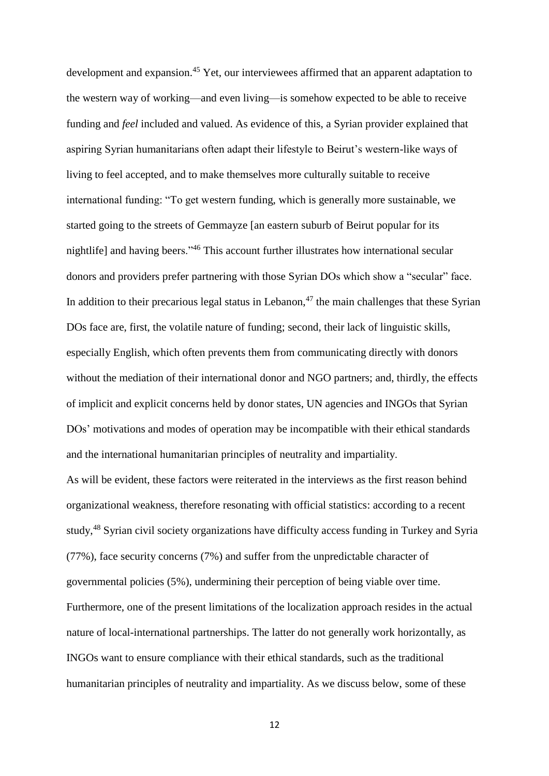development and expansion.<sup>45</sup> Yet, our interviewees affirmed that an apparent adaptation to the western way of working—and even living—is somehow expected to be able to receive funding and *feel* included and valued. As evidence of this, a Syrian provider explained that aspiring Syrian humanitarians often adapt their lifestyle to Beirut's western-like ways of living to feel accepted, and to make themselves more culturally suitable to receive international funding: "To get western funding, which is generally more sustainable, we started going to the streets of Gemmayze [an eastern suburb of Beirut popular for its nightlife] and having beers."<sup>46</sup> This account further illustrates how international secular donors and providers prefer partnering with those Syrian DOs which show a "secular" face. In addition to their precarious legal status in Lebanon,  $47$  the main challenges that these Syrian DOs face are, first, the volatile nature of funding; second, their lack of linguistic skills, especially English, which often prevents them from communicating directly with donors without the mediation of their international donor and NGO partners; and, thirdly, the effects of implicit and explicit concerns held by donor states, UN agencies and INGOs that Syrian DOs' motivations and modes of operation may be incompatible with their ethical standards and the international humanitarian principles of neutrality and impartiality.

As will be evident, these factors were reiterated in the interviews as the first reason behind organizational weakness, therefore resonating with official statistics: according to a recent study,<sup>48</sup> Syrian civil society organizations have difficulty access funding in Turkey and Syria (77%), face security concerns (7%) and suffer from the unpredictable character of governmental policies (5%), undermining their perception of being viable over time. Furthermore, one of the present limitations of the localization approach resides in the actual nature of local-international partnerships. The latter do not generally work horizontally, as INGOs want to ensure compliance with their ethical standards, such as the traditional humanitarian principles of neutrality and impartiality. As we discuss below, some of these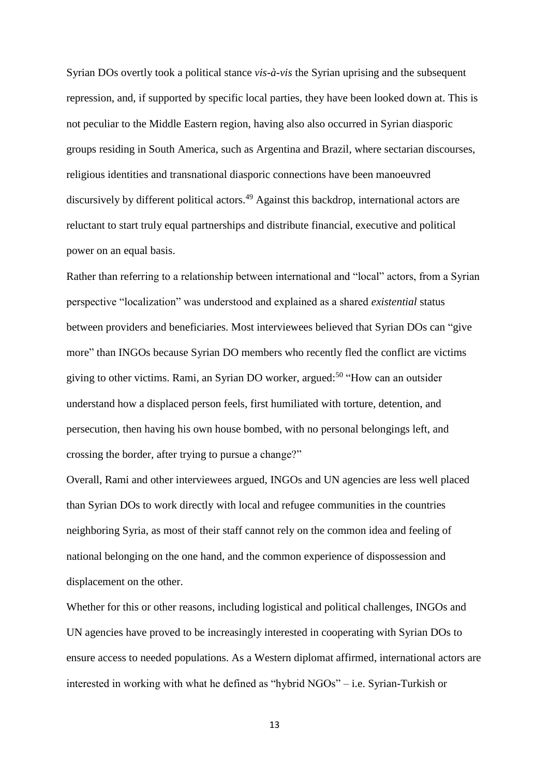Syrian DOs overtly took a political stance *vis-à-vis* the Syrian uprising and the subsequent repression, and, if supported by specific local parties, they have been looked down at. This is not peculiar to the Middle Eastern region, having also also occurred in Syrian diasporic groups residing in South America, such as Argentina and Brazil, where sectarian discourses, religious identities and transnational diasporic connections have been manoeuvred discursively by different political actors.<sup>49</sup> Against this backdrop, international actors are reluctant to start truly equal partnerships and distribute financial, executive and political power on an equal basis.

Rather than referring to a relationship between international and "local" actors, from a Syrian perspective "localization" was understood and explained as a shared *existential* status between providers and beneficiaries. Most interviewees believed that Syrian DOs can "give more" than INGOs because Syrian DO members who recently fled the conflict are victims giving to other victims. Rami, an Syrian DO worker, argued: <sup>50</sup> "How can an outsider understand how a displaced person feels, first humiliated with torture, detention, and persecution, then having his own house bombed, with no personal belongings left, and crossing the border, after trying to pursue a change?"

Overall, Rami and other interviewees argued, INGOs and UN agencies are less well placed than Syrian DOs to work directly with local and refugee communities in the countries neighboring Syria, as most of their staff cannot rely on the common idea and feeling of national belonging on the one hand, and the common experience of dispossession and displacement on the other.

Whether for this or other reasons, including logistical and political challenges, INGOs and UN agencies have proved to be increasingly interested in cooperating with Syrian DOs to ensure access to needed populations. As a Western diplomat affirmed, international actors are interested in working with what he defined as "hybrid NGOs" – i.e. Syrian-Turkish or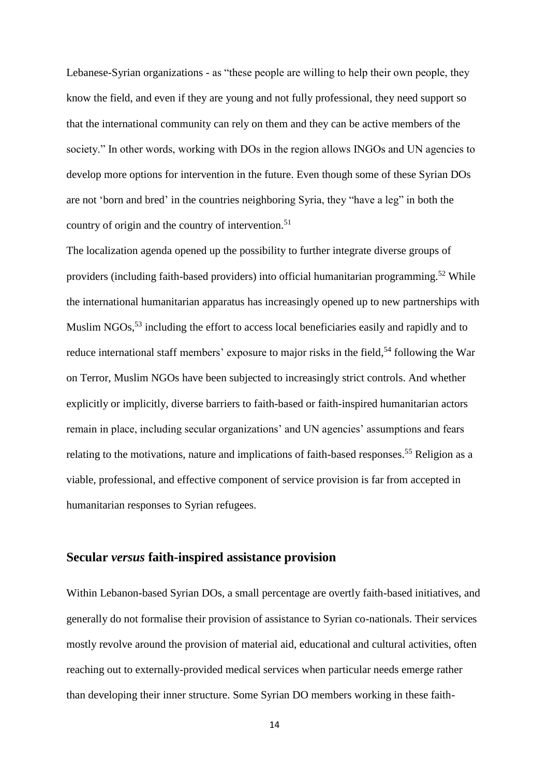Lebanese-Syrian organizations - as "these people are willing to help their own people, they know the field, and even if they are young and not fully professional, they need support so that the international community can rely on them and they can be active members of the society." In other words, working with DOs in the region allows INGOs and UN agencies to develop more options for intervention in the future. Even though some of these Syrian DOs are not 'born and bred' in the countries neighboring Syria, they "have a leg" in both the country of origin and the country of intervention.<sup>51</sup>

The localization agenda opened up the possibility to further integrate diverse groups of providers (including faith-based providers) into official humanitarian programming.<sup>52</sup> While the international humanitarian apparatus has increasingly opened up to new partnerships with Muslim NGOs,<sup>53</sup> including the effort to access local beneficiaries easily and rapidly and to reduce international staff members' exposure to major risks in the field,<sup>54</sup> following the War on Terror, Muslim NGOs have been subjected to increasingly strict controls. And whether explicitly or implicitly, diverse barriers to faith-based or faith-inspired humanitarian actors remain in place, including secular organizations' and UN agencies' assumptions and fears relating to the motivations, nature and implications of faith-based responses.<sup>55</sup> Religion as a viable, professional, and effective component of service provision is far from accepted in humanitarian responses to Syrian refugees.

#### **Secular** *versus* **faith-inspired assistance provision**

Within Lebanon-based Syrian DOs, a small percentage are overtly faith-based initiatives, and generally do not formalise their provision of assistance to Syrian co-nationals. Their services mostly revolve around the provision of material aid, educational and cultural activities, often reaching out to externally-provided medical services when particular needs emerge rather than developing their inner structure. Some Syrian DO members working in these faith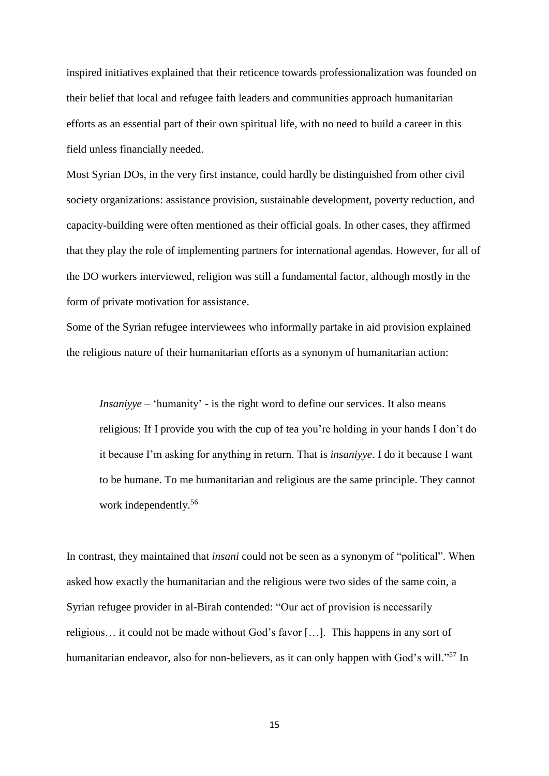inspired initiatives explained that their reticence towards professionalization was founded on their belief that local and refugee faith leaders and communities approach humanitarian efforts as an essential part of their own spiritual life, with no need to build a career in this field unless financially needed.

Most Syrian DOs, in the very first instance, could hardly be distinguished from other civil society organizations: assistance provision, sustainable development, poverty reduction, and capacity-building were often mentioned as their official goals. In other cases, they affirmed that they play the role of implementing partners for international agendas. However, for all of the DO workers interviewed, religion was still a fundamental factor, although mostly in the form of private motivation for assistance.

Some of the Syrian refugee interviewees who informally partake in aid provision explained the religious nature of their humanitarian efforts as a synonym of humanitarian action:

*Insaniyye* – 'humanity' - is the right word to define our services. It also means religious: If I provide you with the cup of tea you're holding in your hands I don't do it because I'm asking for anything in return. That is *insaniyye*. I do it because I want to be humane. To me humanitarian and religious are the same principle. They cannot work independently.<sup>56</sup>

In contrast, they maintained that *insani* could not be seen as a synonym of "political". When asked how exactly the humanitarian and the religious were two sides of the same coin, a Syrian refugee provider in al-Birah contended: "Our act of provision is necessarily religious… it could not be made without God's favor […]. This happens in any sort of humanitarian endeavor, also for non-believers, as it can only happen with God's will."<sup>57</sup> In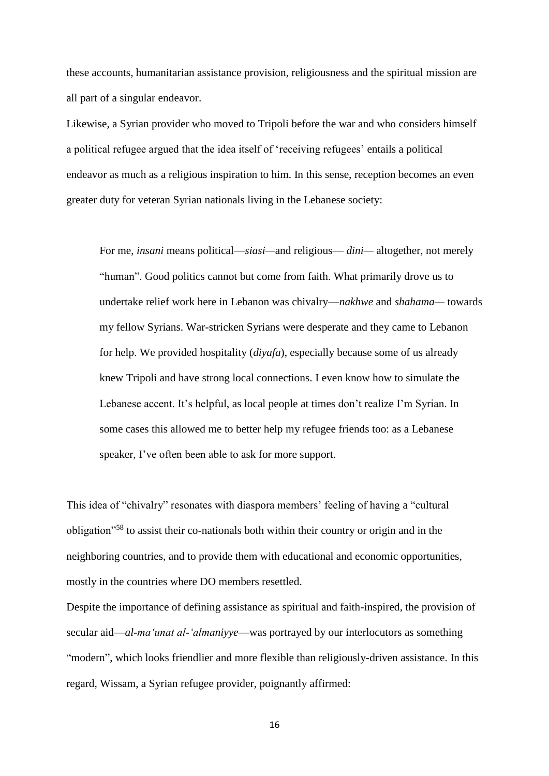these accounts, humanitarian assistance provision, religiousness and the spiritual mission are all part of a singular endeavor.

Likewise, a Syrian provider who moved to Tripoli before the war and who considers himself a political refugee argued that the idea itself of 'receiving refugees' entails a political endeavor as much as a religious inspiration to him. In this sense, reception becomes an even greater duty for veteran Syrian nationals living in the Lebanese society:

For me, *insani* means political—*siasi—*and religious— *dini—* altogether, not merely "human". Good politics cannot but come from faith. What primarily drove us to undertake relief work here in Lebanon was chivalry—*nakhwe* and *shahama—* towards my fellow Syrians. War-stricken Syrians were desperate and they came to Lebanon for help. We provided hospitality (*diyafa*), especially because some of us already knew Tripoli and have strong local connections. I even know how to simulate the Lebanese accent. It's helpful, as local people at times don't realize I'm Syrian. In some cases this allowed me to better help my refugee friends too: as a Lebanese speaker, I've often been able to ask for more support.

This idea of "chivalry" resonates with diaspora members' feeling of having a "cultural obligation"<sup>58</sup> to assist their co-nationals both within their country or origin and in the neighboring countries, and to provide them with educational and economic opportunities, mostly in the countries where DO members resettled.

Despite the importance of defining assistance as spiritual and faith-inspired, the provision of secular aid—*al-ma'unat al-'almaniyye*—was portrayed by our interlocutors as something "modern", which looks friendlier and more flexible than religiously-driven assistance. In this regard, Wissam, a Syrian refugee provider, poignantly affirmed: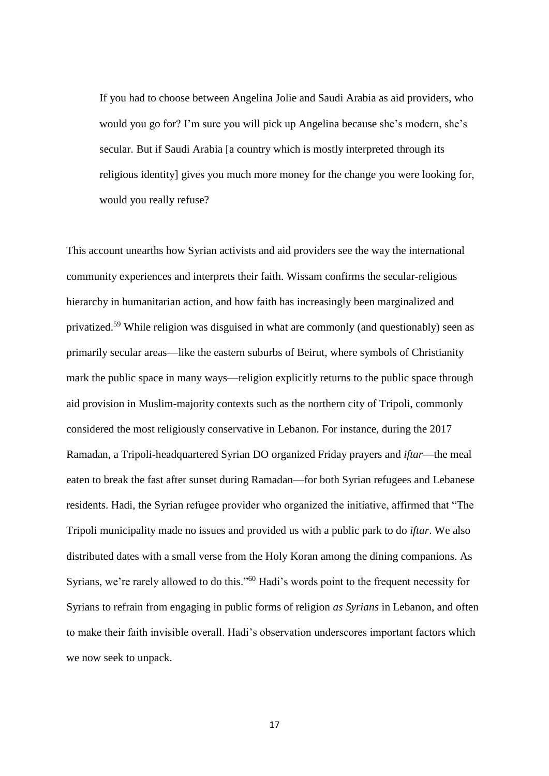If you had to choose between Angelina Jolie and Saudi Arabia as aid providers, who would you go for? I'm sure you will pick up Angelina because she's modern, she's secular. But if Saudi Arabia [a country which is mostly interpreted through its religious identity] gives you much more money for the change you were looking for, would you really refuse?

This account unearths how Syrian activists and aid providers see the way the international community experiences and interprets their faith. Wissam confirms the secular-religious hierarchy in humanitarian action, and how faith has increasingly been marginalized and privatized.<sup>59</sup> While religion was disguised in what are commonly (and questionably) seen as primarily secular areas—like the eastern suburbs of Beirut, where symbols of Christianity mark the public space in many ways—religion explicitly returns to the public space through aid provision in Muslim-majority contexts such as the northern city of Tripoli, commonly considered the most religiously conservative in Lebanon. For instance, during the 2017 Ramadan, a Tripoli-headquartered Syrian DO organized Friday prayers and *iftar*—the meal eaten to break the fast after sunset during Ramadan—for both Syrian refugees and Lebanese residents. Hadi, the Syrian refugee provider who organized the initiative, affirmed that "The Tripoli municipality made no issues and provided us with a public park to do *iftar*. We also distributed dates with a small verse from the Holy Koran among the dining companions. As Syrians, we're rarely allowed to do this."<sup>60</sup> Hadi's words point to the frequent necessity for Syrians to refrain from engaging in public forms of religion *as Syrians* in Lebanon, and often to make their faith invisible overall. Hadi's observation underscores important factors which we now seek to unpack.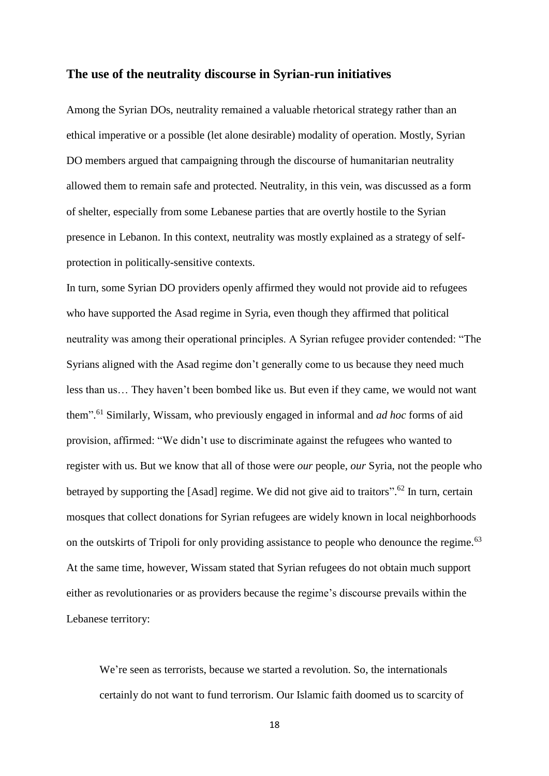### **The use of the neutrality discourse in Syrian-run initiatives**

Among the Syrian DOs, neutrality remained a valuable rhetorical strategy rather than an ethical imperative or a possible (let alone desirable) modality of operation. Mostly, Syrian DO members argued that campaigning through the discourse of humanitarian neutrality allowed them to remain safe and protected. Neutrality, in this vein, was discussed as a form of shelter, especially from some Lebanese parties that are overtly hostile to the Syrian presence in Lebanon. In this context, neutrality was mostly explained as a strategy of selfprotection in politically-sensitive contexts.

In turn, some Syrian DO providers openly affirmed they would not provide aid to refugees who have supported the Asad regime in Syria, even though they affirmed that political neutrality was among their operational principles. A Syrian refugee provider contended: "The Syrians aligned with the Asad regime don't generally come to us because they need much less than us… They haven't been bombed like us. But even if they came, we would not want them". <sup>61</sup> Similarly, Wissam, who previously engaged in informal and *ad hoc* forms of aid provision, affirmed: "We didn't use to discriminate against the refugees who wanted to register with us. But we know that all of those were *our* people, *our* Syria, not the people who betrayed by supporting the [Asad] regime. We did not give aid to traitors".<sup>62</sup> In turn, certain mosques that collect donations for Syrian refugees are widely known in local neighborhoods on the outskirts of Tripoli for only providing assistance to people who denounce the regime.<sup>63</sup> At the same time, however, Wissam stated that Syrian refugees do not obtain much support either as revolutionaries or as providers because the regime's discourse prevails within the Lebanese territory:

We're seen as terrorists, because we started a revolution. So, the internationals certainly do not want to fund terrorism. Our Islamic faith doomed us to scarcity of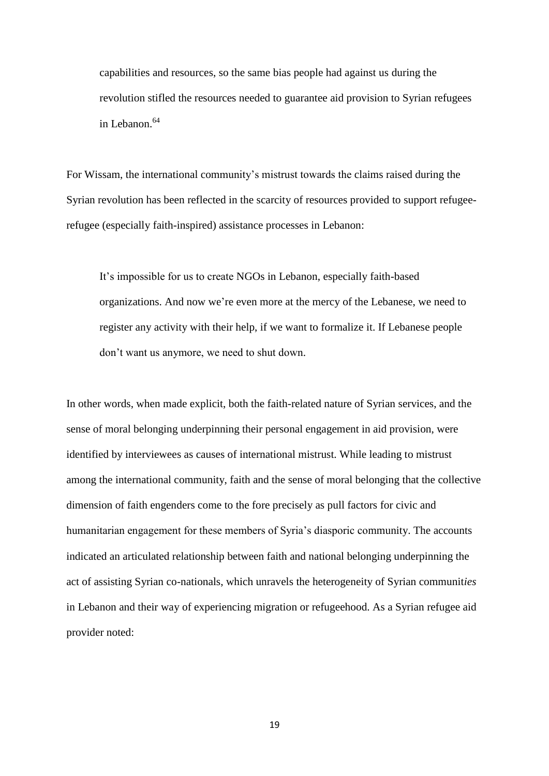capabilities and resources, so the same bias people had against us during the revolution stifled the resources needed to guarantee aid provision to Syrian refugees in Lebanon.<sup>64</sup>

For Wissam, the international community's mistrust towards the claims raised during the Syrian revolution has been reflected in the scarcity of resources provided to support refugeerefugee (especially faith-inspired) assistance processes in Lebanon:

It's impossible for us to create NGOs in Lebanon, especially faith-based organizations. And now we're even more at the mercy of the Lebanese, we need to register any activity with their help, if we want to formalize it. If Lebanese people don't want us anymore, we need to shut down.

In other words, when made explicit, both the faith-related nature of Syrian services, and the sense of moral belonging underpinning their personal engagement in aid provision, were identified by interviewees as causes of international mistrust. While leading to mistrust among the international community, faith and the sense of moral belonging that the collective dimension of faith engenders come to the fore precisely as pull factors for civic and humanitarian engagement for these members of Syria's diasporic community. The accounts indicated an articulated relationship between faith and national belonging underpinning the act of assisting Syrian co-nationals, which unravels the heterogeneity of Syrian communit*ies* in Lebanon and their way of experiencing migration or refugeehood. As a Syrian refugee aid provider noted: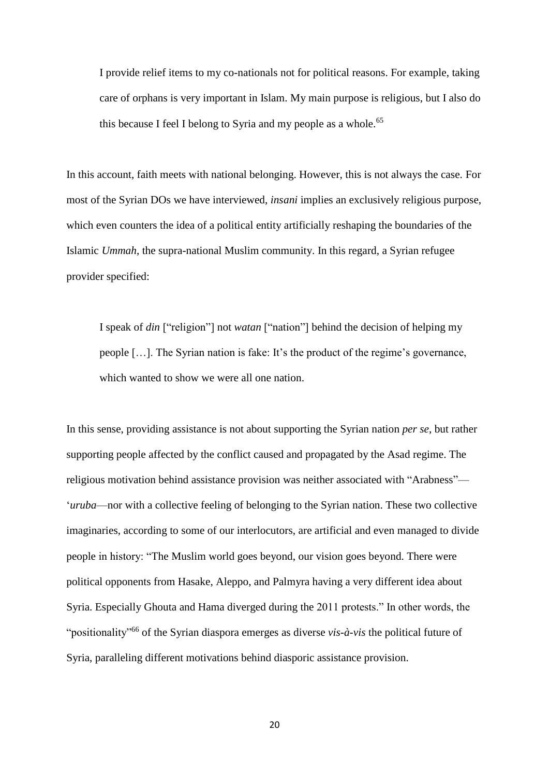I provide relief items to my co-nationals not for political reasons. For example, taking care of orphans is very important in Islam. My main purpose is religious, but I also do this because I feel I belong to Syria and my people as a whole.<sup>65</sup>

In this account, faith meets with national belonging. However, this is not always the case. For most of the Syrian DOs we have interviewed, *insani* implies an exclusively religious purpose, which even counters the idea of a political entity artificially reshaping the boundaries of the Islamic *Ummah*, the supra-national Muslim community. In this regard, a Syrian refugee provider specified:

I speak of *din* ["religion"] not *watan* ["nation"] behind the decision of helping my people […]. The Syrian nation is fake: It's the product of the regime's governance, which wanted to show we were all one nation.

In this sense, providing assistance is not about supporting the Syrian nation *per se*, but rather supporting people affected by the conflict caused and propagated by the Asad regime. The religious motivation behind assistance provision was neither associated with "Arabness"— '*uruba*—nor with a collective feeling of belonging to the Syrian nation. These two collective imaginaries, according to some of our interlocutors, are artificial and even managed to divide people in history: "The Muslim world goes beyond, our vision goes beyond. There were political opponents from Hasake, Aleppo, and Palmyra having a very different idea about Syria. Especially Ghouta and Hama diverged during the 2011 protests." In other words, the "positionality"<sup>66</sup> of the Syrian diaspora emerges as diverse *vis-à-vis* the political future of Syria, paralleling different motivations behind diasporic assistance provision.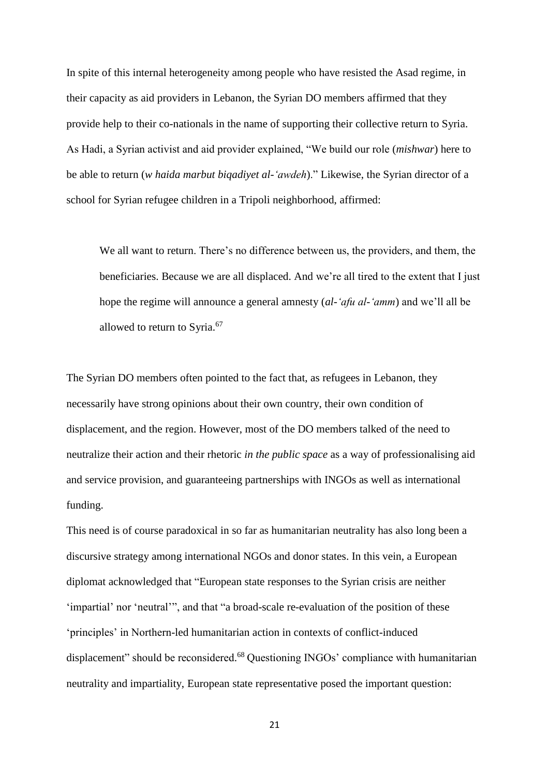In spite of this internal heterogeneity among people who have resisted the Asad regime, in their capacity as aid providers in Lebanon, the Syrian DO members affirmed that they provide help to their co-nationals in the name of supporting their collective return to Syria. As Hadi, a Syrian activist and aid provider explained, "We build our role (*mishwar*) here to be able to return (*w haida marbut biqadiyet al-'awdeh*)." Likewise, the Syrian director of a school for Syrian refugee children in a Tripoli neighborhood, affirmed:

We all want to return. There's no difference between us, the providers, and them, the beneficiaries. Because we are all displaced. And we're all tired to the extent that I just hope the regime will announce a general amnesty (*al-'afu al-'amm*) and we'll all be allowed to return to Syria.<sup>67</sup>

The Syrian DO members often pointed to the fact that, as refugees in Lebanon, they necessarily have strong opinions about their own country, their own condition of displacement, and the region. However, most of the DO members talked of the need to neutralize their action and their rhetoric *in the public space* as a way of professionalising aid and service provision, and guaranteeing partnerships with INGOs as well as international funding.

This need is of course paradoxical in so far as humanitarian neutrality has also long been a discursive strategy among international NGOs and donor states. In this vein, a European diplomat acknowledged that "European state responses to the Syrian crisis are neither 'impartial' nor 'neutral'", and that "a broad-scale re-evaluation of the position of these 'principles' in Northern-led humanitarian action in contexts of conflict-induced displacement" should be reconsidered.<sup>68</sup> Questioning INGOs' compliance with humanitarian neutrality and impartiality, European state representative posed the important question: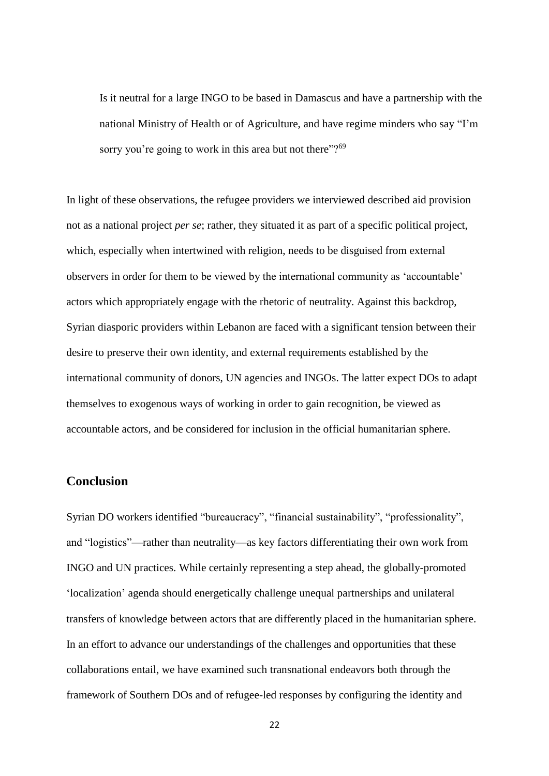Is it neutral for a large INGO to be based in Damascus and have a partnership with the national Ministry of Health or of Agriculture, and have regime minders who say "I'm sorry you're going to work in this area but not there"?<sup>69</sup>

In light of these observations, the refugee providers we interviewed described aid provision not as a national project *per se*; rather, they situated it as part of a specific political project, which, especially when intertwined with religion, needs to be disguised from external observers in order for them to be viewed by the international community as 'accountable' actors which appropriately engage with the rhetoric of neutrality. Against this backdrop, Syrian diasporic providers within Lebanon are faced with a significant tension between their desire to preserve their own identity, and external requirements established by the international community of donors, UN agencies and INGOs. The latter expect DOs to adapt themselves to exogenous ways of working in order to gain recognition, be viewed as accountable actors, and be considered for inclusion in the official humanitarian sphere.

# **Conclusion**

Syrian DO workers identified "bureaucracy", "financial sustainability", "professionality", and "logistics"—rather than neutrality—as key factors differentiating their own work from INGO and UN practices. While certainly representing a step ahead, the globally-promoted 'localization' agenda should energetically challenge unequal partnerships and unilateral transfers of knowledge between actors that are differently placed in the humanitarian sphere. In an effort to advance our understandings of the challenges and opportunities that these collaborations entail, we have examined such transnational endeavors both through the framework of Southern DOs and of refugee-led responses by configuring the identity and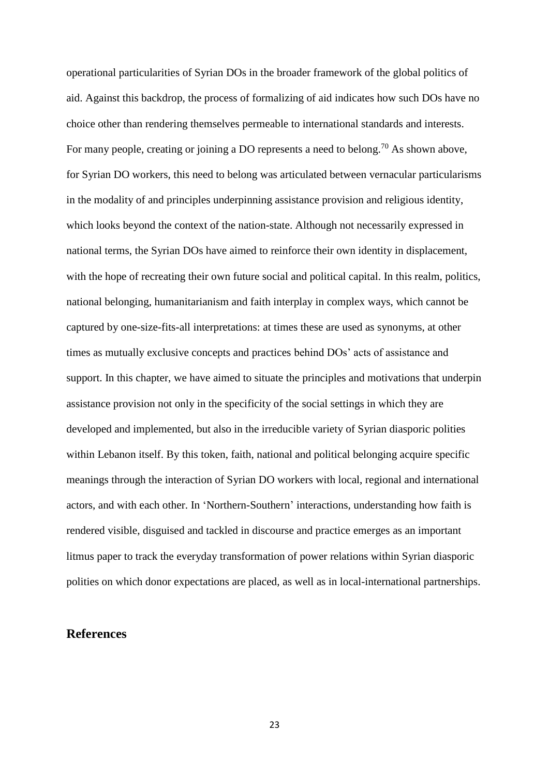operational particularities of Syrian DOs in the broader framework of the global politics of aid. Against this backdrop, the process of formalizing of aid indicates how such DOs have no choice other than rendering themselves permeable to international standards and interests. For many people, creating or joining a DO represents a need to belong.<sup>70</sup> As shown above, for Syrian DO workers, this need to belong was articulated between vernacular particularisms in the modality of and principles underpinning assistance provision and religious identity, which looks beyond the context of the nation-state. Although not necessarily expressed in national terms, the Syrian DOs have aimed to reinforce their own identity in displacement, with the hope of recreating their own future social and political capital. In this realm, politics, national belonging, humanitarianism and faith interplay in complex ways, which cannot be captured by one-size-fits-all interpretations: at times these are used as synonyms, at other times as mutually exclusive concepts and practices behind DOs' acts of assistance and support. In this chapter, we have aimed to situate the principles and motivations that underpin assistance provision not only in the specificity of the social settings in which they are developed and implemented, but also in the irreducible variety of Syrian diasporic polities within Lebanon itself. By this token, faith, national and political belonging acquire specific meanings through the interaction of Syrian DO workers with local, regional and international actors, and with each other. In 'Northern-Southern' interactions, understanding how faith is rendered visible, disguised and tackled in discourse and practice emerges as an important litmus paper to track the everyday transformation of power relations within Syrian diasporic polities on which donor expectations are placed, as well as in local-international partnerships.

## **References**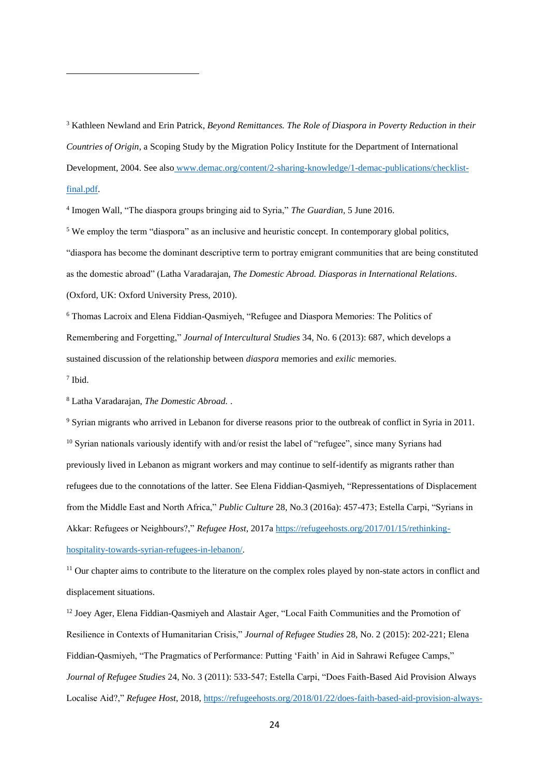<sup>3</sup> Kathleen Newland and Erin Patrick, *Beyond Remittances. The Role of Diaspora in Poverty Reduction in their Countries of Origin*, a Scoping Study by the Migration Policy Institute for the Department of International Development, 2004. See also [www.demac.org/content/2-sharing-knowledge/1-demac-publications/checklist](file:///C:/Users/ifhv/AppData/Local/Temp/www.demac.org/content/2-sharing-knowledge/1-demac-publications/checklist-final.pdf)[final.pdf.](file:///C:/Users/ifhv/AppData/Local/Temp/www.demac.org/content/2-sharing-knowledge/1-demac-publications/checklist-final.pdf)

4 Imogen Wall, "The diaspora groups bringing aid to Syria," *The Guardian,* 5 June 2016.

<sup>5</sup> We employ the term "diaspora" as an inclusive and heuristic concept. In contemporary global politics, "diaspora has become the dominant descriptive term to portray emigrant communities that are being constituted as the domestic abroad" (Latha Varadarajan, *The Domestic Abroad. Diasporas in International Relations*. (Oxford, UK: Oxford University Press, 2010).

<sup>6</sup> Thomas Lacroix and Elena Fiddian-Qasmiyeh, "Refugee and Diaspora Memories: The Politics of Remembering and Forgetting," *Journal of Intercultural Studies* 34, No. 6 (2013): 687, which develops a sustained discussion of the relationship between *diaspora* memories and *exilic* memories.

7 Ibid.

**.** 

<sup>8</sup> Latha Varadarajan, *The Domestic Abroad.* .

<sup>9</sup> Syrian migrants who arrived in Lebanon for diverse reasons prior to the outbreak of conflict in Syria in 2011.  $10$  Syrian nationals variously identify with and/or resist the label of "refugee", since many Syrians had previously lived in Lebanon as migrant workers and may continue to self-identify as migrants rather than refugees due to the connotations of the latter. See Elena Fiddian-Qasmiyeh, "Repressentations of Displacement from the Middle East and North Africa," *Public Culture* 28, No.3 (2016a): 457-473; Estella Carpi, "Syrians in Akkar: Refugees or Neighbours?," *Refugee Host*, 2017a [https://refugeehosts.org/2017/01/15/rethinking](https://refugeehosts.org/2017/01/15/rethinking-hospitality-towards-syrian-refugees-in-lebanon/)[hospitality-towards-syrian-refugees-in-lebanon/.](https://refugeehosts.org/2017/01/15/rethinking-hospitality-towards-syrian-refugees-in-lebanon/)

 $11$  Our chapter aims to contribute to the literature on the complex roles played by non-state actors in conflict and displacement situations.

 $12$  Joey Ager, Elena Fiddian-Qasmiyeh and Alastair Ager, "Local Faith Communities and the Promotion of Resilience in Contexts of Humanitarian Crisis," *Journal of Refugee Studies* 28, No. 2 (2015): 202-221; Elena Fiddian-Qasmiyeh, "The Pragmatics of Performance: Putting 'Faith' in Aid in Sahrawi Refugee Camps," *Journal of Refugee Studies* 24, No. 3 (2011): 533-547; Estella Carpi, "Does Faith-Based Aid Provision Always Localise Aid?," *Refugee Host*, 2018, [https://refugeehosts.org/2018/01/22/does-faith-based-aid-provision-always-](https://refugeehosts.org/2018/01/22/does-faith-based-aid-provision-always-localise-aid/)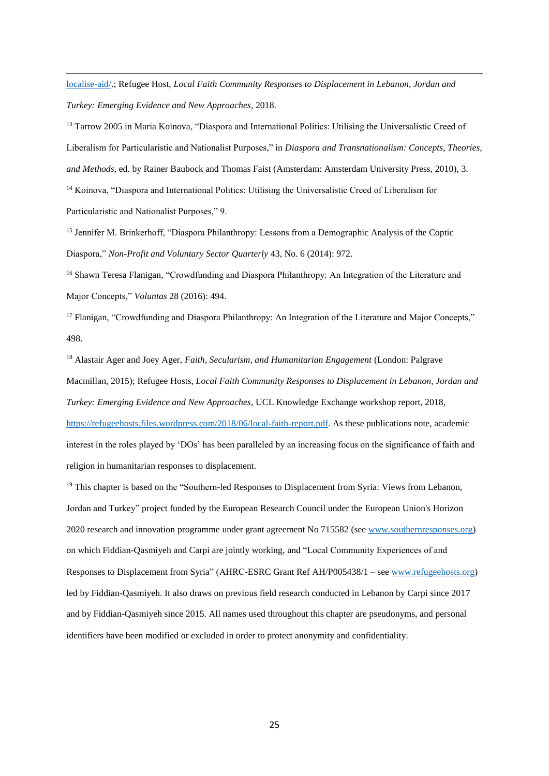[localise-aid/.](https://refugeehosts.org/2018/01/22/does-faith-based-aid-provision-always-localise-aid/); Refugee Host, *Local Faith Community Responses to Displacement in Lebanon, Jordan and Turkey: Emerging Evidence and New Approaches*, 2018.

**.** 

<sup>13</sup> Tarrow 2005 in Maria Koinova, "Diaspora and International Politics: Utilising the Universalistic Creed of Liberalism for Particularistic and Nationalist Purposes," in *Diaspora and Transnationalism: Concepts, Theories, and Methods*, ed. by Rainer Baubock and Thomas Faist (Amsterdam: Amsterdam University Press, 2010), 3. <sup>14</sup> Koinova, "Diaspora and International Politics: Utilising the Universalistic Creed of Liberalism for Particularistic and Nationalist Purposes," 9.

<sup>15</sup> Jennifer M. Brinkerhoff, "Diaspora Philanthropy: Lessons from a Demographic Analysis of the Coptic Diaspora," *Non-Profit and Voluntary Sector Quarterly* 43, No. 6 (2014): 972.

<sup>16</sup> Shawn Teresa Flanigan, "Crowdfunding and Diaspora Philanthropy: An Integration of the Literature and Major Concepts," *Voluntas* 28 (2016): 494.

<sup>17</sup> Flanigan, "Crowdfunding and Diaspora Philanthropy: An Integration of the Literature and Major Concepts," 498.

<sup>18</sup> Alastair Ager and Joey Ager, *Faith, Secularism, and Humanitarian Engagement* (London: Palgrave Macmillan, 2015); Refugee Hosts, *Local Faith Community Responses to Displacement in Lebanon, Jordan and Turkey: Emerging Evidence and New Approaches*, UCL Knowledge Exchange workshop report, 2018, [https://refugeehosts.files.wordpress.com/2018/06/local-faith-report.pdf.](https://refugeehosts.files.wordpress.com/2018/06/local-faith-report.pdf) As these publications note, academic interest in the roles played by 'DOs' has been paralleled by an increasing focus on the significance of faith and religion in humanitarian responses to displacement.

<sup>19</sup> This chapter is based on the "Southern-led Responses to Displacement from Syria: Views from Lebanon, Jordan and Turkey" project funded by the European Research Council under the European Union's Horizon 2020 research and innovation programme under grant agreement No 715582 (see [www.southernresponses.org\)](http://www.southernresponses.org/) on which Fiddian-Qasmiyeh and Carpi are jointly working, and "Local Community Experiences of and Responses to Displacement from Syria" (AHRC-ESRC Grant Ref AH/P005438/1 – se[e www.refugeehosts.org\)](http://www.refugeehosts.org/) led by Fiddian-Qasmiyeh. It also draws on previous field research conducted in Lebanon by Carpi since 2017 and by Fiddian-Qasmiyeh since 2015. All names used throughout this chapter are pseudonyms, and personal identifiers have been modified or excluded in order to protect anonymity and confidentiality.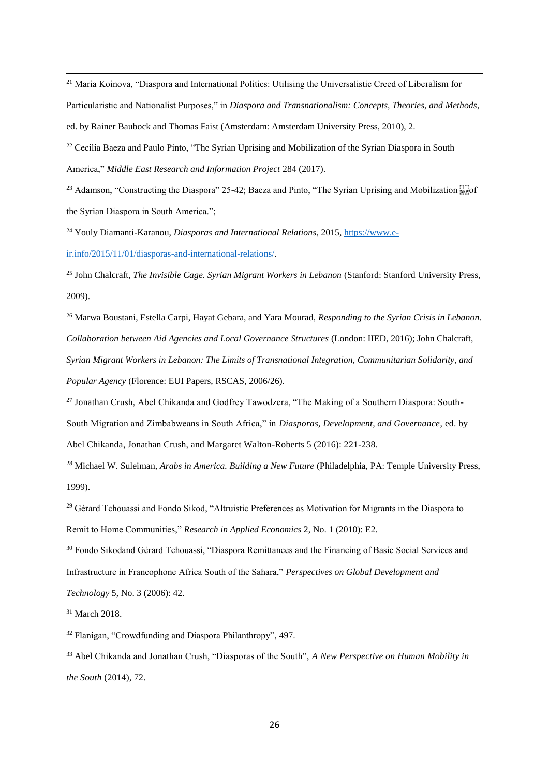<sup>21</sup> Maria Koinova, "Diaspora and International Politics: Utilising the Universalistic Creed of Liberalism for

Particularistic and Nationalist Purposes," in *Diaspora and Transnationalism: Concepts, Theories, and Methods*,

ed. by Rainer Baubock and Thomas Faist (Amsterdam: Amsterdam University Press, 2010), 2.

<sup>22</sup> Cecilia Baeza and Paulo Pinto, "The Syrian Uprising and Mobilization of the Syrian Diaspora in South America," *Middle East Research and Information Project* 284 (2017).

<sup>23</sup> Adamson, "Constructing the Diaspora" 25-42; Baeza and Pinto, "The Syrian Uprising and Mobilization  $s_F$ the Syrian Diaspora in South America.";

<sup>24</sup> Youly Diamanti-Karanou, *Diasporas and International Relations*, 2015, [https://www.e](https://www.e-ir.info/2015/11/01/diasporas-and-international-relations/)[ir.info/2015/11/01/diasporas-and-international-relations/.](https://www.e-ir.info/2015/11/01/diasporas-and-international-relations/)

<sup>25</sup> John Chalcraft, *The Invisible Cage. Syrian Migrant Workers in Lebanon* (Stanford: Stanford University Press, 2009).

<sup>26</sup> Marwa Boustani, Estella Carpi, Hayat Gebara, and Yara Mourad, *Responding to the Syrian Crisis in Lebanon. Collaboration between Aid Agencies and Local Governance Structures* (London: IIED, 2016); John Chalcraft, *Syrian Migrant Workers in Lebanon: The Limits of Transnational Integration, Communitarian Solidarity, and Popular Agency* (Florence: EUI Papers, RSCAS, 2006/26).

<sup>27</sup> Jonathan Crush, Abel Chikanda and Godfrey Tawodzera, "The Making of a Southern Diaspora: South-South Migration and Zimbabweans in South Africa," in *Diasporas, Development, and Governance*, ed. by Abel Chikanda, Jonathan Crush, and Margaret Walton-Roberts 5 (2016): 221-238.

<sup>28</sup> Michael W. Suleiman, *Arabs in America. Building a New Future* (Philadelphia, PA: Temple University Press, 1999).

<sup>29</sup> Gérard Tchouassi and Fondo Sikod, "Altruistic Preferences as Motivation for Migrants in the Diaspora to Remit to Home Communities," *Research in Applied Economics* 2, No. 1 (2010): E2.

<sup>30</sup> Fondo Sikodand Gérard Tchouassi, "Diaspora Remittances and the Financing of Basic Social Services and Infrastructure in Francophone Africa South of the Sahara," *Perspectives on Global Development and Technology* 5, No. 3 (2006): 42.

<sup>31</sup> March 2018.

**.** 

<sup>32</sup> Flanigan, "Crowdfunding and Diaspora Philanthropy", 497.

<sup>33</sup> Abel Chikanda and Jonathan Crush, "Diasporas of the South", *A New Perspective on Human Mobility in the South* (2014), 72.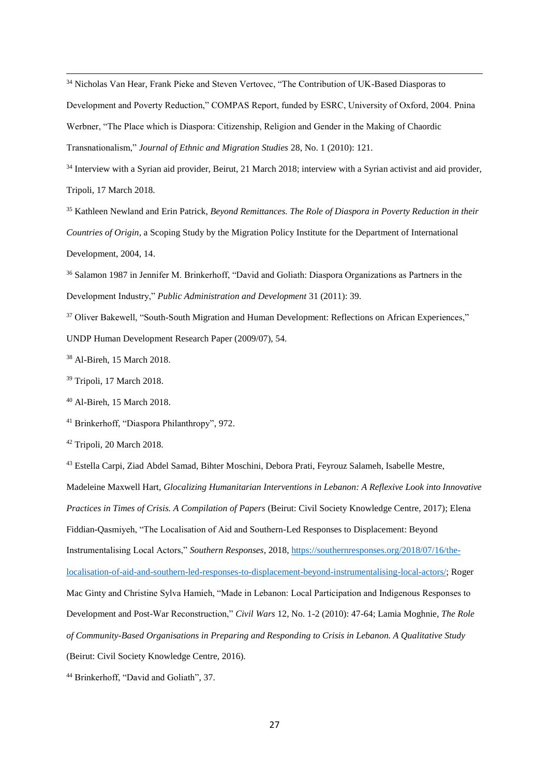<sup>34</sup> Nicholas Van Hear, Frank Pieke and Steven Vertovec, "The Contribution of UK-Based Diasporas to

Development and Poverty Reduction," COMPAS Report, funded by ESRC, University of Oxford, 2004. Pnina Werbner, "The Place which is Diaspora: Citizenship, Religion and Gender in the Making of Chaordic Transnationalism," *Journal of Ethnic and Migration Studies* 28, No. 1 (2010): 121.

<sup>34</sup> Interview with a Syrian aid provider, Beirut, 21 March 2018; interview with a Syrian activist and aid provider, Tripoli, 17 March 2018.

<sup>35</sup> Kathleen Newland and Erin Patrick, *Beyond Remittances. The Role of Diaspora in Poverty Reduction in their Countries of Origin*, a Scoping Study by the Migration Policy Institute for the Department of International Development, 2004, 14.

<sup>36</sup> Salamon 1987 in Jennifer M. Brinkerhoff, "David and Goliath: Diaspora Organizations as Partners in the Development Industry," *Public Administration and Development* 31 (2011): 39.

<sup>37</sup> Oliver Bakewell, "South-South Migration and Human Development: Reflections on African Experiences," UNDP Human Development Research Paper (2009/07), 54.

<sup>38</sup> Al-Bireh, 15 March 2018.

**.** 

<sup>39</sup> Tripoli, 17 March 2018.

<sup>40</sup> Al-Bireh, 15 March 2018.

<sup>41</sup> Brinkerhoff, "Diaspora Philanthropy", 972.

<sup>42</sup> Tripoli, 20 March 2018.

<sup>43</sup> Estella Carpi, Ziad Abdel Samad, Bihter Moschini, Debora Prati, Feyrouz Salameh, Isabelle Mestre, Madeleine Maxwell Hart, *Glocalizing Humanitarian Interventions in Lebanon: A Reflexive Look into Innovative Practices in Times of Crisis. A Compilation of Papers* (Beirut: Civil Society Knowledge Centre, 2017); Elena Fiddian-Qasmiyeh, "The Localisation of Aid and Southern-Led Responses to Displacement: Beyond Instrumentalising Local Actors," *Southern Responses*, 2018, [https://southernresponses.org/2018/07/16/the](https://southernresponses.org/2018/07/16/the-localisation-of-aid-and-southern-led-responses-to-displacement-beyond-instrumentalising-local-actors/)[localisation-of-aid-and-southern-led-responses-to-displacement-beyond-instrumentalising-local-actors/;](https://southernresponses.org/2018/07/16/the-localisation-of-aid-and-southern-led-responses-to-displacement-beyond-instrumentalising-local-actors/) Roger Mac Ginty and Christine Sylva Hamieh, "Made in Lebanon: Local Participation and Indigenous Responses to Development and Post-War Reconstruction," *Civil Wars* 12, No. 1-2 (2010): 47-64; Lamia Moghnie, *The Role of Community-Based Organisations in Preparing and Responding to Crisis in Lebanon. A Qualitative Study* (Beirut: Civil Society Knowledge Centre, 2016).

<sup>44</sup> Brinkerhoff, "David and Goliath", 37.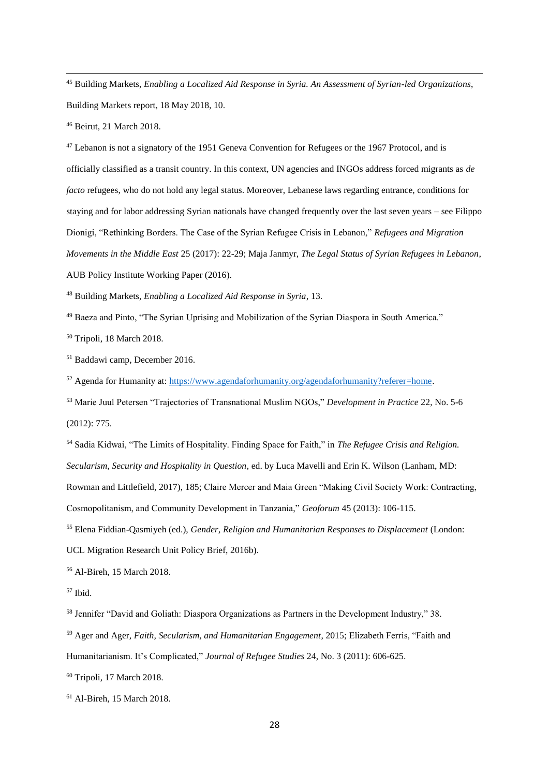<sup>45</sup> Building Markets, *Enabling a Localized Aid Response in Syria. An Assessment of Syrian-led Organizations*, Building Markets report, 18 May 2018, 10.

<sup>46</sup> Beirut, 21 March 2018.

**.** 

<sup>47</sup> Lebanon is not a signatory of the 1951 Geneva Convention for Refugees or the 1967 Protocol, and is officially classified as a transit country. In this context, UN agencies and INGOs address forced migrants as *de facto* refugees, who do not hold any legal status. Moreover, Lebanese laws regarding entrance, conditions for staying and for labor addressing Syrian nationals have changed frequently over the last seven years – see Filippo Dionigi, "Rethinking Borders. The Case of the Syrian Refugee Crisis in Lebanon," *Refugees and Migration Movements in the Middle East* 25 (2017): 22-29; Maja Janmyr, *The Legal Status of Syrian Refugees in Lebanon*, AUB Policy Institute Working Paper (2016).

<sup>48</sup> Building Markets, *Enabling a Localized Aid Response in Syria*, 13.

<sup>49</sup> Baeza and Pinto, "The Syrian Uprising and Mobilization of the Syrian Diaspora in South America."

<sup>50</sup> Tripoli, 18 March 2018.

<sup>51</sup> Baddawi camp, December 2016.

<sup>52</sup> Agenda for Humanity at: [https://www.agendaforhumanity.org/agendaforhumanity?referer=home.](https://www.agendaforhumanity.org/agendaforhumanity?referer=home)

<sup>53</sup> Marie Juul Petersen "Trajectories of Transnational Muslim NGOs," *Development in Practice* 22, No. 5-6 (2012): 775.

<sup>54</sup> Sadia Kidwai, "The Limits of Hospitality. Finding Space for Faith," in *The Refugee Crisis and Religion. Secularism, Security and Hospitality in Question*, ed. by Luca Mavelli and Erin K. Wilson (Lanham, MD: Rowman and Littlefield, 2017), 185; Claire Mercer and Maia Green "Making Civil Society Work: Contracting, Cosmopolitanism, and Community Development in Tanzania," *Geoforum* 45 (2013): 106-115. <sup>55</sup> Elena Fiddian-Qasmiyeh (ed.), *Gender, Religion and Humanitarian Responses to Displacement* (London:

UCL Migration Research Unit Policy Brief, 2016b).

<sup>56</sup> Al-Bireh, 15 March 2018.

<sup>57</sup> Ibid.

<sup>58</sup> Jennifer "David and Goliath: Diaspora Organizations as Partners in the Development Industry," 38.

<sup>59</sup> Ager and Ager, *Faith, Secularism, and Humanitarian Engagement*, 2015; Elizabeth Ferris, "Faith and Humanitarianism. It's Complicated," *Journal of Refugee Studies* 24, No. 3 (2011): 606-625.

<sup>60</sup> Tripoli, 17 March 2018.

<sup>61</sup> Al-Bireh, 15 March 2018.